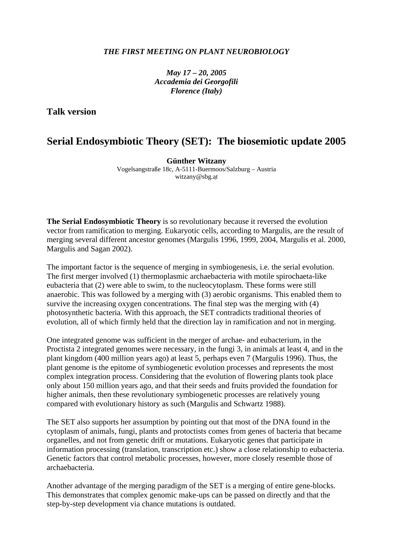## *THE FIRST MEETING ON PLANT NEUROBIOLOGY*

*May 17 – 20, 2005 Accademia dei Georgofili Florence (Italy)*

**Talk version** 

## **Serial Endosymbiotic Theory (SET): The biosemiotic update 2005**

**Günther Witzany** 

Vogelsangstraße 18c, A-5111-Buermoos/Salzburg – Austria witzany@sbg.at

**The Serial Endosymbiotic Theory** is so revolutionary because it reversed the evolution vector from ramification to merging. Eukaryotic cells, according to Margulis, are the result of merging several different ancestor genomes (Margulis 1996, 1999, 2004, Margulis et al. 2000, Margulis and Sagan 2002).

The important factor is the sequence of merging in symbiogenesis, i.e. the serial evolution. The first merger involved (1) thermoplasmic archaebacteria with motile spirochaeta-like eubacteria that (2) were able to swim, to the nucleocytoplasm. These forms were still anaerobic. This was followed by a merging with (3) aerobic organisms. This enabled them to survive the increasing oxygen concentrations. The final step was the merging with (4) photosynthetic bacteria. With this approach, the SET contradicts traditional theories of evolution, all of which firmly held that the direction lay in ramification and not in merging.

One integrated genome was sufficient in the merger of archae- and eubacterium, in the Proctista 2 integrated genomes were necessary, in the fungi 3, in animals at least 4, and in the plant kingdom (400 million years ago) at least 5, perhaps even 7 (Margulis 1996). Thus, the plant genome is the epitome of symbiogenetic evolution processes and represents the most complex integration process. Considering that the evolution of flowering plants took place only about 150 million years ago, and that their seeds and fruits provided the foundation for higher animals, then these revolutionary symbiogenetic processes are relatively young compared with evolutionary history as such (Margulis and Schwartz 1988).

The SET also supports her assumption by pointing out that most of the DNA found in the cytoplasm of animals, fungi, plants and protoctists comes from genes of bacteria that became organelles, and not from genetic drift or mutations. Eukaryotic genes that participate in information processing (translation, transcription etc.) show a close relationship to eubacteria. Genetic factors that control metabolic processes, however, more closely resemble those of archaebacteria.

Another advantage of the merging paradigm of the SET is a merging of entire gene-blocks. This demonstrates that complex genomic make-ups can be passed on directly and that the step-by-step development via chance mutations is outdated.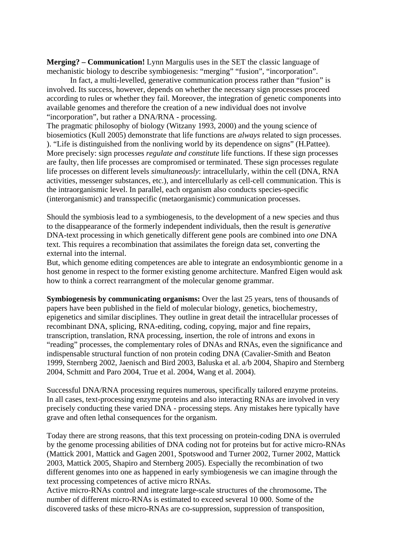**Merging? – Communication!** Lynn Margulis uses in the SET the classic language of mechanistic biology to describe symbiogenesis: "merging" "fusion", "incorporation".

In fact, a multi-levelled, generative communication process rather than "fusion" is involved. Its success, however, depends on whether the necessary sign processes proceed according to rules or whether they fail. Moreover, the integration of genetic components into available genomes and therefore the creation of a new individual does not involve "incorporation", but rather a DNA/RNA - processing.

The pragmatic philosophy of biology (Witzany 1993, 2000) and the young science of biosemiotics (Kull 2005) demonstrate that life functions are *always* related to sign processes. ). "Life is distinguished from the nonliving world by its dependence on signs" (H.Pattee). More precisely: sign processes *regulate and constitute* life functions. If these sign processes are faulty, then life processes are compromised or terminated. These sign processes regulate life processes on different levels *simultaneously*: intracellularly, within the cell (DNA, RNA activities, messenger substances, etc.), and intercellularly as cell-cell communication. This is the intraorganismic level. In parallel, each organism also conducts species-specific (interorganismic) and transspecific (metaorganismic) communication processes.

Should the symbiosis lead to a symbiogenesis, to the development of a new species and thus to the disappearance of the formerly independent individuals, then the result is *generative* DNA-text processing in which genetically different gene pools are combined into *one* DNA text. This requires a recombination that assimilates the foreign data set, converting the external into the internal.

But, which genome editing competences are able to integrate an endosymbiontic genome in a host genome in respect to the former existing genome architecture. Manfred Eigen would ask how to think a correct rearrangment of the molecular genome grammar.

**Symbiogenesis by communicating organisms:** Over the last 25 years, tens of thousands of papers have been published in the field of molecular biology, genetics, biochemestry, epigenetics and similar disciplines. They outline in great detail the intracellular processes of recombinant DNA, splicing, RNA-editing, coding, copying, major and fine repairs, transcription, translation, RNA processing, insertion, the role of introns and exons in "reading" processes, the complementary roles of DNAs and RNAs, even the significance and indispensable structural function of non protein coding DNA (Cavalier-Smith and Beaton 1999, Sternberg 2002, Jaenisch and Bird 2003, Baluska et al. a/b 2004, Shapiro and Sternberg 2004, Schmitt and Paro 2004, True et al. 2004, Wang et al. 2004).

Successful DNA/RNA processing requires numerous, specifically tailored enzyme proteins. In all cases, text-processing enzyme proteins and also interacting RNAs are involved in very precisely conducting these varied DNA - processing steps. Any mistakes here typically have grave and often lethal consequences for the organism.

Today there are strong reasons, that this text processing on protein-coding DNA is overruled by the genome processing abilities of DNA coding not for proteins but for active micro-RNAs (Mattick 2001, Mattick and Gagen 2001, Spotswood and Turner 2002, Turner 2002, Mattick 2003, Mattick 2005, Shapiro and Sternberg 2005). Especially the recombination of two different genomes into one as happened in early symbiogenesis we can imagine through the text processing competences of active micro RNAs.

Active micro-RNAs control and integrate large-scale structures of the chromosome**.** The number of different micro-RNAs is estimated to exceed several 10 000. Some of the discovered tasks of these micro-RNAs are co-suppression, suppression of transposition,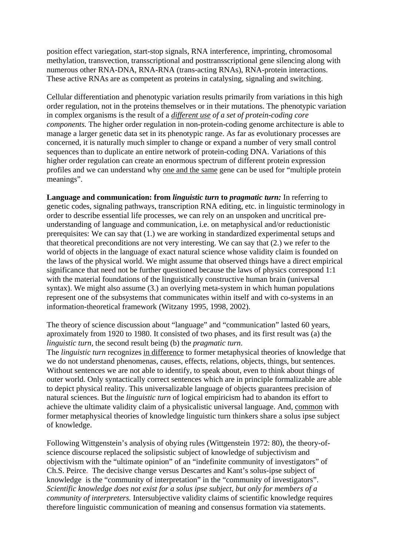position effect variegation, start-stop signals, RNA interference, imprinting, chromosomal methylation, transvection, transscriptional and posttransscriptional gene silencing along with numerous other RNA-DNA, RNA-RNA (trans-acting RNAs), RNA-protein interactions. These active RNAs are as competent as proteins in catalysing, signaling and switching.

Cellular differentiation and phenotypic variation results primarily from variations in this high order regulation, not in the proteins themselves or in their mutations. The phenotypic variation in complex organisms is the result of a *different use of a set of protein-coding core components.* The higher order regulation in non-protein-coding genome architecture is able to manage a larger genetic data set in its phenotypic range. As far as evolutionary processes are concerned, it is naturally much simpler to change or expand a number of very small control sequences than to duplicate an entire network of protein-coding DNA. Variations of this higher order regulation can create an enormous spectrum of different protein expression profiles and we can understand why one and the same gene can be used for "multiple protein meanings".

**Language and communication: from** *linguistic turn* **to** *pragmatic turn:* In referring to genetic codes, signaling pathways, transcription RNA editing, etc. in linguistic terminology in order to describe essential life processes, we can rely on an unspoken and uncritical preunderstanding of language and communication, i.e. on metaphysical and/or reductionistic prerequisites: We can say that (1.) we are working in standardized experimental setups and that theoretical preconditions are not very interesting. We can say that (2.) we refer to the world of objects in the language of exact natural science whose validity claim is founded on the laws of the physical world. We might assume that observed things have a direct empirical significance that need not be further questioned because the laws of physics correspond 1:1 with the material foundations of the linguistically constructive human brain (universal syntax). We might also assume (3.) an overlying meta-system in which human populations represent one of the subsystems that communicates within itself and with co-systems in an information-theoretical framework (Witzany 1995, 1998, 2002).

The theory of science discussion about "language" and "communication" lasted 60 years, aproximately from 1920 to 1980. It consisted of two phases, and its first result was (a) the *linguistic turn,* the second result being (b) the *pragmatic turn*.

The *linguistic turn* recognizes in difference to former metaphysical theories of knowledge that we do not understand phenomenas, causes, effects, relations, objects, things, but sentences. Without sentences we are not able to identify, to speak about, even to think about things of outer world. Only syntactically correct sentences which are in principle formalizable are able to depict physical reality. This universalizable language of objects guarantees precision of natural sciences. But the *linguistic turn* of logical empiricism had to abandon its effort to achieve the ultimate validity claim of a physicalistic universal language. And, common with former metaphysical theories of knowledge linguistic turn thinkers share a solus ipse subject of knowledge.

Following Wittgenstein's analysis of obying rules (Wittgenstein 1972: 80), the theory-ofscience discourse replaced the solipsistic subject of knowledge of subjectivism and objectivism with the "ultimate opinion" of an "indefinite community of investigators" of Ch.S. Peirce. The decisive change versus Descartes and Kant's solus-ipse subject of knowledge is the "community of interpretation" in the "community of investigators". *Scientific knowledge does not exist for a solus ipse subject, but only for members of a community of interpreters.* Intersubjective validity claims of scientific knowledge requires therefore linguistic communication of meaning and consensus formation via statements.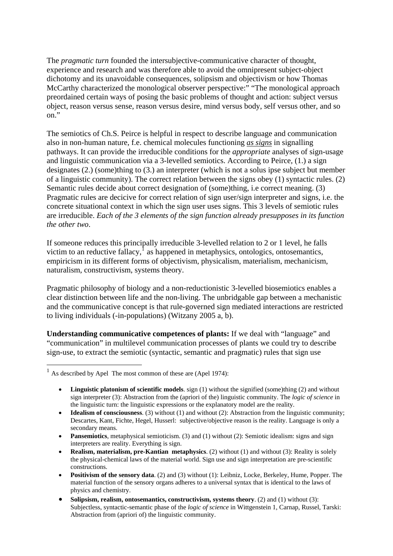The *pragmatic turn* founded the intersubjective-communicative character of thought, experience and research and was therefore able to avoid the omnipresent subject-object dichotomy and its unavoidable consequences, solipsism and objectivism or how Thomas McCarthy characterized the monological observer perspective:" "The monological approach preordained certain ways of posing the basic problems of thought and action: subject versus object, reason versus sense, reason versus desire, mind versus body, self versus other, and so on."

The semiotics of Ch.S. Peirce is helpful in respect to describe language and communication also in non-human nature, f.e. chemical molecules functioning *as signs* in signalling pathways. It can provide the irreducible conditions for the *appropriate* analyses of sign-usage and linguistic communication via a 3-levelled semiotics. According to Peirce, (1.) a sign designates (2.) (some)thing to (3.) an interpreter (which is not a solus ipse subject but member of a linguistic community). The correct relation between the signs obey (1) syntactic rules. (2) Semantic rules decide about correct designation of (some)thing, i.e correct meaning. (3) Pragmatic rules are decicive for correct relation of sign user/sign interpreter and signs, i.e. the concrete situational context in which the sign user uses signs. This 3 levels of semiotic rules are irreducible. *Each of the 3 elements of the sign function already presupposes in its function the other two*.

If someone reduces this principally irreducible 3-levelled relation to 2 or 1 level, he falls victim to an reductive fallacy, $<sup>1</sup>$  $<sup>1</sup>$  $<sup>1</sup>$  as happened in metaphysics, ontologics, ontosemantics,</sup> empiricism in its different forms of objectivism, physicalism, materialism, mechanicism, naturalism, constructivism, systems theory.

Pragmatic philosophy of biology and a non-reductionistic 3-levelled biosemiotics enables a clear distinction between life and the non-living. The unbridgable gap between a mechanistic and the communicative concept is that rule-governed sign mediated interactions are restricted to living individuals (-in-populations) (Witzany 2005 a, b).

**Understanding communicative competences of plants:** If we deal with "language" and "communication" in multilevel communication processes of plants we could try to describe sign-use, to extract the semiotic (syntactic, semantic and pragmatic) rules that sign use

1

<span id="page-3-0"></span> $<sup>1</sup>$  As described by Apel The most common of these are (Apel 1974):</sup>

<sup>•</sup> **Linguistic platonism of scientific models**. sign (1) without the signified (some)thing (2) and without sign interpreter (3): Abstraction from the (apriori of the) linguistic community. The *logic of science* in the linguistic turn: the linguistic expressions or the explanatory model are the reality.

<sup>•</sup> **Idealism of consciousness.** (3) without (1) and without (2): Abstraction from the linguistic community; Descartes, Kant, Fichte, Hegel, Husserl: subjective/objective reason is the reality. Language is only a secondary means.

<sup>•</sup> **Pansemiotics**, metaphysical semioticism. (3) and (1) without (2): Semiotic idealism: signs and sign interpreters are reality. Everything is sign.

<sup>•</sup> **Realism, materialism, pre-Kantian metaphysics**. (2) without (1) and without (3): Reality is solely the physical-chemical laws of the material world. Sign use and sign interpretation are pre-scientific constructions.

<sup>•</sup> **Positivism of the sensory data**. (2) and (3) without (1): Leibniz, Locke, Berkeley, Hume, Popper. The material function of the sensory organs adheres to a universal syntax that is identical to the laws of physics and chemistry.

<sup>•</sup> **Solipsism, realism, ontosemantics, constructivism, systems theory**. (2) and (1) without (3): Subjectless, syntactic-semantic phase of the *logic of science* in Wittgenstein 1, Carnap, Russel, Tarski: Abstraction from (apriori of) the linguistic community.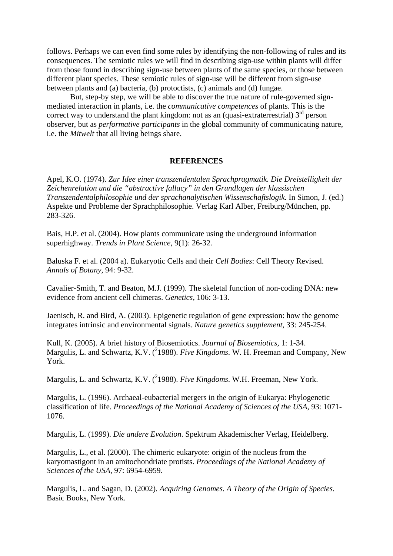follows. Perhaps we can even find some rules by identifying the non-following of rules and its consequences. The semiotic rules we will find in describing sign-use within plants will differ from those found in describing sign-use between plants of the same species, or those between different plant species. These semiotic rules of sign-use will be different from sign-use between plants and (a) bacteria, (b) protoctists, (c) animals and (d) fungae.

 But, step-by step, we will be able to discover the true nature of rule-governed signmediated interaction in plants, i.e. the *communicative competences* of plants. This is the correct way to understand the plant kingdom: not as an (quasi-extraterrestrial)  $3<sup>rd</sup>$  person observer, but as *performative participants* in the global community of communicating nature, i.e. the *Mitwelt* that all living beings share.

## **REFERENCES**

Apel, K.O. (1974). *Zur Idee einer transzendentalen Sprachpragmatik. Die Dreistelligkeit der Zeichenrelation und die "abstractive fallacy" in den Grundlagen der klassischen Transzendentalphilosophie und der sprachanalytischen Wissenschaftslogik.* In Simon, J. (ed.) Aspekte und Probleme der Sprachphilosophie. Verlag Karl Alber, Freiburg/München, pp. 283-326.

Bais, H.P. et al. (2004). How plants communicate using the underground information superhighway. *Trends in Plant Science,* 9(1): 26-32.

Baluska F. et al. (2004 a). Eukaryotic Cells and their *Cell Bodies*: Cell Theory Revised. *Annals of Botany,* 94: 9-32.

Cavalier-Smith, T. and Beaton, M.J. (1999). The skeletal function of non-coding DNA: new evidence from ancient cell chimeras. *Genetics,* 106: 3-13.

Jaenisch, R. and Bird, A. (2003). Epigenetic regulation of gene expression: how the genome integrates intrinsic and environmental signals. *Nature genetics supplement*, 33: 245-254.

Kull, K. (2005). A brief history of Biosemiotics. *Journal of Biosemiotics,* 1: 1-34. Margulis, L. and Schwartz, K.V. (<sup>2</sup>1988). *Five Kingdoms*. W. H. Freeman and Company, New York.

Margulis, L. and Schwartz, K.V. (<sup>2</sup>1988). *Five Kingdoms*. W.H. Freeman, New York.

Margulis, L. (1996). Archaeal-eubacterial mergers in the origin of Eukarya: Phylogenetic classification of life. *Proceedings of the National Academy of Sciences of the USA*, 93: 1071- 1076.

Margulis, L. (1999). *Die andere Evolution*. Spektrum Akademischer Verlag, Heidelberg.

Margulis, L., et al. (2000). The chimeric eukaryote: origin of the nucleus from the karyomastigont in an amitochondriate protists. *Proceedings of the National Academy of Sciences of the USA,* 97: 6954-6959.

Margulis, L. and Sagan, D. (2002). *Acquiring Genomes. A Theory of the Origin of Species*. Basic Books, New York.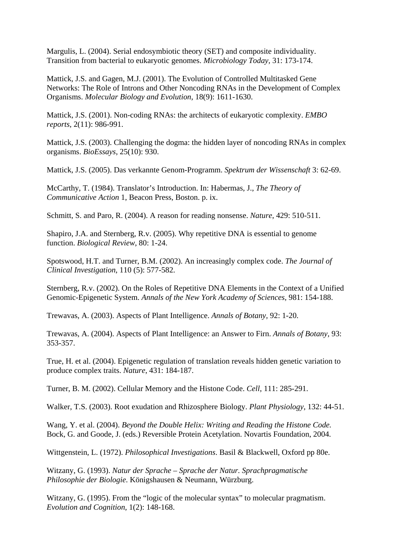Margulis, L. (2004). Serial endosymbiotic theory (SET) and composite individuality. Transition from bacterial to eukaryotic genomes. *Microbiology Today,* 31: 173-174.

Mattick, J.S. and Gagen, M.J. (2001). The Evolution of Controlled Multitasked Gene Networks: The Role of Introns and Other Noncoding RNAs in the Development of Complex Organisms. *Molecular Biology and Evolution*, 18(9): 1611-1630.

Mattick, J.S. (2001). Non-coding RNAs: the architects of eukaryotic complexity. *EMBO reports*, 2(11): 986-991.

Mattick, J.S. (2003). Challenging the dogma: the hidden layer of noncoding RNAs in complex organisms. *BioEssays*, 25(10): 930.

Mattick, J.S. (2005). Das verkannte Genom-Programm. *Spektrum der Wissenschaft* 3: 62-69.

McCarthy, T. (1984). Translator's Introduction. In: Habermas, J., *The Theory of Communicative Action* 1, Beacon Press, Boston. p. ix.

Schmitt, S. and Paro, R. (2004). A reason for reading nonsense. *Nature*, 429: 510-511.

Shapiro, J.A. and Sternberg, R.v. (2005). Why repetitive DNA is essential to genome function. *Biological Review*, 80: 1-24.

Spotswood, H.T. and Turner, B.M. (2002). An increasingly complex code. *The Journal of Clinical Investigation*, 110 (5): 577-582.

Sternberg, R.v. (2002). On the Roles of Repetitive DNA Elements in the Context of a Unified Genomic-Epigenetic System. *Annals of the New York Academy of Sciences,* 981: 154-188.

Trewavas, A. (2003). Aspects of Plant Intelligence. *Annals of Botany,* 92: 1-20.

Trewavas, A. (2004). Aspects of Plant Intelligence: an Answer to Firn. *Annals of Botany,* 93: 353-357.

True, H. et al. (2004). Epigenetic regulation of translation reveals hidden genetic variation to produce complex traits. *Nature*, 431: 184-187.

Turner, B. M. (2002). Cellular Memory and the Histone Code. *Cell*, 111: 285-291.

Walker, T.S. (2003). Root exudation and Rhizosphere Biology. *Plant Physiology*, 132: 44-51.

Wang, Y. et al. (2004). *Beyond the Double Helix: Writing and Reading the Histone Code.* Bock, G. and Goode, J. (eds.) Reversible Protein Acetylation. Novartis Foundation, 2004.

Wittgenstein, L. (1972). *Philosophical Investigations*. Basil & Blackwell, Oxford pp 80e.

Witzany, G. (1993). *Natur der Sprache – Sprache der Natur. Sprachpragmatische Philosophie der Biologie*. Königshausen & Neumann, Würzburg.

Witzany, G. (1995). From the "logic of the molecular syntax" to molecular pragmatism. *Evolution and Cognition*, 1(2): 148-168.